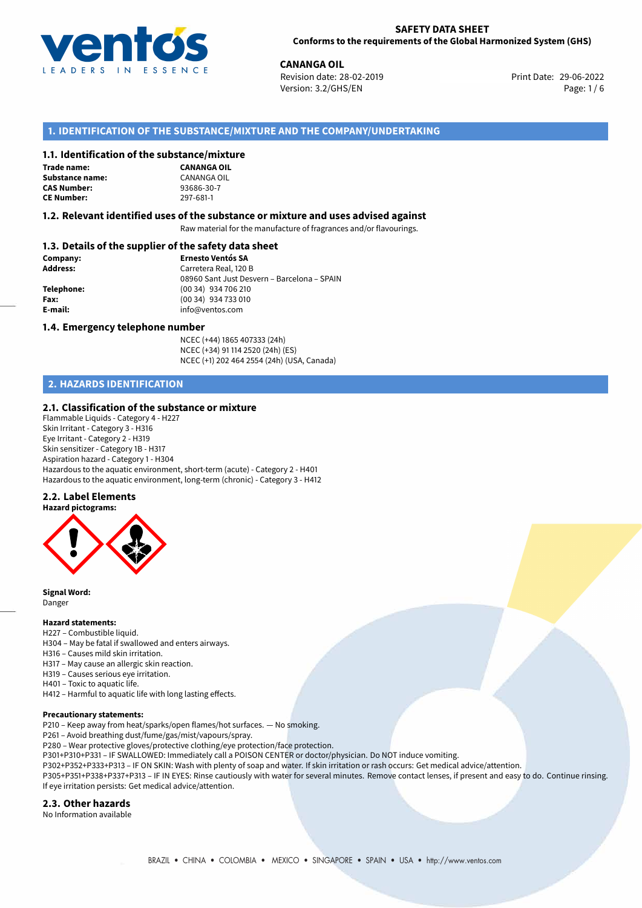

29-06-2022 **CANANGA OIL** Revision date: 28-02-2019 Print Date: Version: 3.2/GHS/EN Page: 1 / 6

## **1. IDENTIFICATION OF THE SUBSTANCE/MIXTURE AND THE COMPANY/UNDERTAKING**

#### **1.1. Identification of the substance/mixture**

**Trade name: Substance name:** CANANGA OIL<br> **CAS Number:** 93686-30-7 **CAS Number: CE Number:** 297-681-1



#### **1.2. Relevant identified uses of the substance or mixture and uses advised against**

Raw material for the manufacture of fragrances and/or flavourings.

## **1.3. Details of the supplier of the safety data sheet**

| Company:        | <b>Ernesto Ventós SA</b>                    |
|-----------------|---------------------------------------------|
| <b>Address:</b> | Carretera Real, 120 B                       |
|                 | 08960 Sant Just Desvern - Barcelona - SPAIN |
| Telephone:      | (00 34) 934 706 210                         |
| Fax:            | $(0034)$ 934 733 010                        |
| E-mail:         | info@ventos.com                             |
|                 |                                             |

#### **1.4. Emergency telephone number**

NCEC (+44) 1865 407333 (24h) NCEC (+34) 91 114 2520 (24h) (ES) NCEC (+1) 202 464 2554 (24h) (USA, Canada)

# **2. HAZARDS IDENTIFICATION**

#### **2.1. Classification of the substance or mixture**

Flammable Liquids - Category 4 - H227 Skin Irritant - Category 3 - H316 Eye Irritant - Category 2 - H319 Skin sensitizer - Category 1B - H317 Aspiration hazard - Category 1 - H304 Hazardous to the aquatic environment, short-term (acute) - Category 2 - H401 Hazardous to the aquatic environment, long-term (chronic) - Category 3 - H412

## **2.2. Label Elements**



**Signal Word:** Danger

## **Hazard statements:**

- H227 Combustible liquid.
- H304 May be fatal if swallowed and enters airways.
- H316 Causes mild skin irritation.
- H317 May cause an allergic skin reaction.
- H319 Causes serious eye irritation.
- H401 Toxic to aquatic life.
- H412 Harmful to aquatic life with long lasting effects.

#### **Precautionary statements:**

P210 – Keep away from heat/sparks/open flames/hot surfaces. — No smoking.

- P261 Avoid breathing dust/fume/gas/mist/vapours/spray.
- P280 Wear protective gloves/protective clothing/eye protection/face protection.
- P301+P310+P331 IF SWALLOWED: Immediately call a POISON CENTER or doctor/physician. Do NOT induce vomiting.
- P302+P352+P333+P313 IF ON SKIN: Wash with plenty of soap and water. If skin irritation or rash occurs: Get medical advice/attention.

P305+P351+P338+P337+P313 – IF IN EYES: Rinse cautiously with water for several minutes. Remove contact lenses, if present and easy to do. Continue rinsing. If eye irritation persists: Get medical advice/attention.

#### **2.3. Other hazards**

No Information available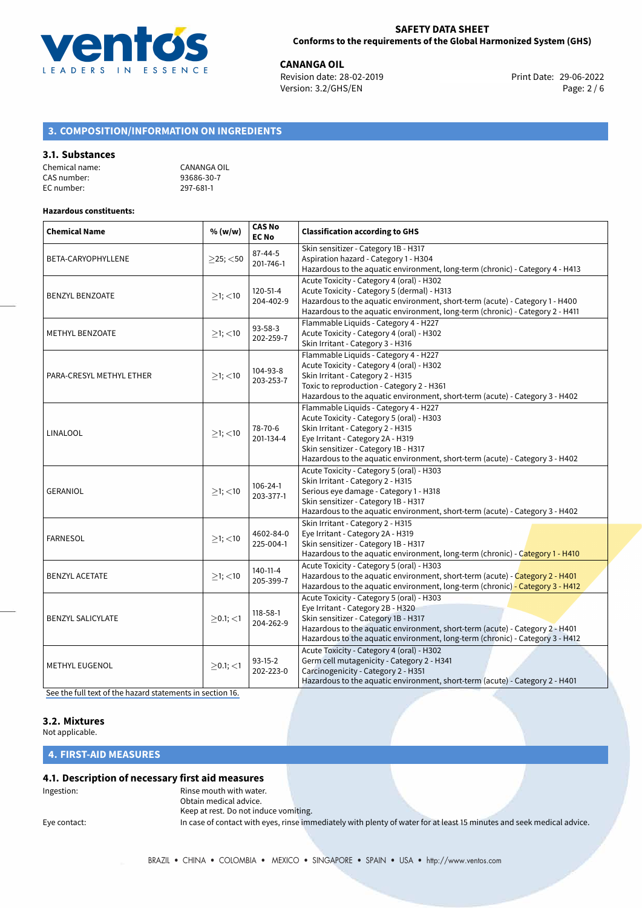

**CANANGA OIL**<br>
Revision date: 28-02-2019 **Print Date: 29-06-2022** Version: 3.2/GHS/EN Page: 2 / 6

# **3. COMPOSITION/INFORMATION ON INGREDIENTS**

## **3.1. Substances**

| Chemical name: | CANANGA OIL |
|----------------|-------------|
| CAS number:    | 93686-30-7  |
| EC number:     | 297-681-1   |

#### **Hazardous constituents:**

| <b>Chemical Name</b>     | % (w/w)        | <b>CAS No</b><br><b>EC No</b> | <b>Classification according to GHS</b>                                                                                                                                                                                                                                                  |  |
|--------------------------|----------------|-------------------------------|-----------------------------------------------------------------------------------------------------------------------------------------------------------------------------------------------------------------------------------------------------------------------------------------|--|
| BETA-CARYOPHYLLENE       | $>25$ ; $<$ 50 | $87 - 44 - 5$<br>201-746-1    | Skin sensitizer - Category 1B - H317<br>Aspiration hazard - Category 1 - H304<br>Hazardous to the aquatic environment, long-term (chronic) - Category 4 - H413                                                                                                                          |  |
| <b>BENZYL BENZOATE</b>   | $>1$ ; <10     | $120 - 51 - 4$<br>204-402-9   | Acute Toxicity - Category 4 (oral) - H302<br>Acute Toxicity - Category 5 (dermal) - H313<br>Hazardous to the aquatic environment, short-term (acute) - Category 1 - H400<br>Hazardous to the aquatic environment, long-term (chronic) - Category 2 - H411                               |  |
| <b>METHYL BENZOATE</b>   | $\geq$ 1; <10  | $93 - 58 - 3$<br>202-259-7    | Flammable Liquids - Category 4 - H227<br>Acute Toxicity - Category 4 (oral) - H302<br>Skin Irritant - Category 3 - H316                                                                                                                                                                 |  |
| PARA-CRESYL METHYL ETHER | $≥1;$ < 10     | 104-93-8<br>203-253-7         | Flammable Liquids - Category 4 - H227<br>Acute Toxicity - Category 4 (oral) - H302<br>Skin Irritant - Category 2 - H315<br>Toxic to reproduction - Category 2 - H361<br>Hazardous to the aquatic environment, short-term (acute) - Category 3 - H402                                    |  |
| LINALOOL                 | $>1$ ; <10     | 78-70-6<br>201-134-4          | Flammable Liquids - Category 4 - H227<br>Acute Toxicity - Category 5 (oral) - H303<br>Skin Irritant - Category 2 - H315<br>Eye Irritant - Category 2A - H319<br>Skin sensitizer - Category 1B - H317<br>Hazardous to the aquatic environment, short-term (acute) - Category 3 - H402    |  |
| <b>GERANIOL</b>          | $>1$ ; <10     | $106 - 24 - 1$<br>203-377-1   | Acute Toxicity - Category 5 (oral) - H303<br>Skin Irritant - Category 2 - H315<br>Serious eye damage - Category 1 - H318<br>Skin sensitizer - Category 1B - H317<br>Hazardous to the aquatic environment, short-term (acute) - Category 3 - H402                                        |  |
| <b>FARNESOL</b>          | $>1$ ; <10     | 4602-84-0<br>225-004-1        | Skin Irritant - Category 2 - H315<br>Eye Irritant - Category 2A - H319<br>Skin sensitizer - Category 1B - H317<br>Hazardous to the aquatic environment, long-term (chronic) - Category 1 - H410                                                                                         |  |
| <b>BENZYL ACETATE</b>    | $>1$ ; <10     | 140-11-4<br>205-399-7         | Acute Toxicity - Category 5 (oral) - H303<br>Hazardous to the aquatic environment, short-term (acute) - Category 2 - H401<br>Hazardous to the aquatic environment, long-term (chronic) - Category 3 - H412                                                                              |  |
| <b>BENZYL SALICYLATE</b> | $>0.1$ ; $<$ 1 | 118-58-1<br>204-262-9         | Acute Toxicity - Category 5 (oral) - H303<br>Eye Irritant - Category 2B - H320<br>Skin sensitizer - Category 1B - H317<br>Hazardous to the aquatic environment, short-term (acute) - Category 2 - H401<br>Hazardous to the aquatic environment, long-term (chronic) - Category 3 - H412 |  |
| <b>METHYL EUGENOL</b>    | $>0.1$ ; <1    | $93-15-2$<br>202-223-0        | Acute Toxicity - Category 4 (oral) - H302<br>Germ cell mutagenicity - Category 2 - H341<br>Carcinogenicity - Category 2 - H351<br>Hazardous to the aquatic environment, short-term (acute) - Category 2 - H401                                                                          |  |

[See the full text of the hazard statements in section 16.](#page-4-0)

# **3.2. Mixtures**

Not applicable.

**4. FIRST-AID MEASURES**

## **4.1. Description of necessary first aid measures**

Ingestion: **All and Struth With Water.** Rinse mouth with water. Obtain medical advice. Keep at rest. Do not induce vomiting. Eye contact: In case of contact with eyes, rinse immediately with plenty of water for at least 15 minutes and seek medical advice.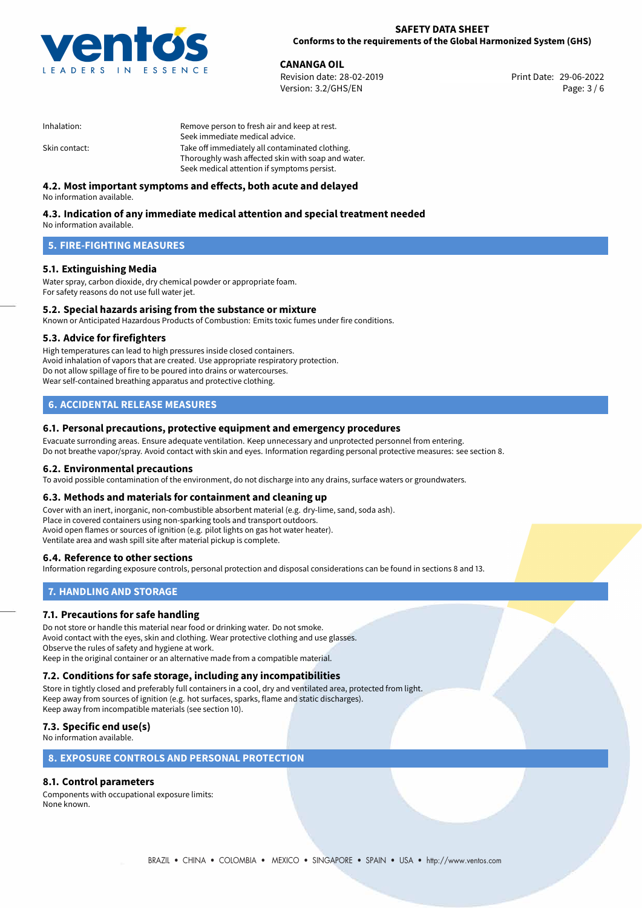

**CANANGA OIL**<br>
Revision date: 28-02-2019 **Print Date: 29-06-2022** Version: 3.2/GHS/EN Page: 3 / 6

| Inhalation:   | Remove person to fresh air and keep at rest.       |  |
|---------------|----------------------------------------------------|--|
|               | Seek immediate medical advice.                     |  |
| Skin contact: | Take off immediately all contaminated clothing.    |  |
|               | Thoroughly wash affected skin with soap and water. |  |
|               | Seek medical attention if symptoms persist.        |  |

# **4.2. Most important symptoms and effects, both acute and delayed**

No information available.

# **4.3. Indication of any immediate medical attention and special treatment needed**

No information available.

## **5. FIRE-FIGHTING MEASURES**

## **5.1. Extinguishing Media**

Water spray, carbon dioxide, dry chemical powder or appropriate foam. For safety reasons do not use full water jet.

# **5.2. Special hazards arising from the substance or mixture**

Known or Anticipated Hazardous Products of Combustion: Emits toxic fumes under fire conditions.

## **5.3. Advice for firefighters**

High temperatures can lead to high pressures inside closed containers. Avoid inhalation of vapors that are created. Use appropriate respiratory protection. Do not allow spillage of fire to be poured into drains or watercourses. Wear self-contained breathing apparatus and protective clothing.

## **6. ACCIDENTAL RELEASE MEASURES**

## **6.1. Personal precautions, protective equipment and emergency procedures**

Evacuate surronding areas. Ensure adequate ventilation. Keep unnecessary and unprotected personnel from entering. Do not breathe vapor/spray. Avoid contact with skin and eyes. Information regarding personal protective measures: see section 8.

## **6.2. Environmental precautions**

To avoid possible contamination of the environment, do not discharge into any drains, surface waters or groundwaters.

## **6.3. Methods and materials for containment and cleaning up**

Cover with an inert, inorganic, non-combustible absorbent material (e.g. dry-lime, sand, soda ash). Place in covered containers using non-sparking tools and transport outdoors. Avoid open flames or sources of ignition (e.g. pilot lights on gas hot water heater). Ventilate area and wash spill site after material pickup is complete.

## **6.4. Reference to other sections**

Information regarding exposure controls, personal protection and disposal considerations can be found in sections 8 and 13.

## **7. HANDLING AND STORAGE**

## **7.1. Precautions for safe handling**

Do not store or handle this material near food or drinking water. Do not smoke. Avoid contact with the eyes, skin and clothing. Wear protective clothing and use glasses. Observe the rules of safety and hygiene at work. Keep in the original container or an alternative made from a compatible material.

# **7.2. Conditions for safe storage, including any incompatibilities**

Store in tightly closed and preferably full containers in a cool, dry and ventilated area, protected from light. Keep away from sources of ignition (e.g. hot surfaces, sparks, flame and static discharges). Keep away from incompatible materials (see section 10).

# **7.3. Specific end use(s)**

No information available.

## **8. EXPOSURE CONTROLS AND PERSONAL PROTECTION**

## **8.1. Control parameters**

Components with occupational exposure limits: None known.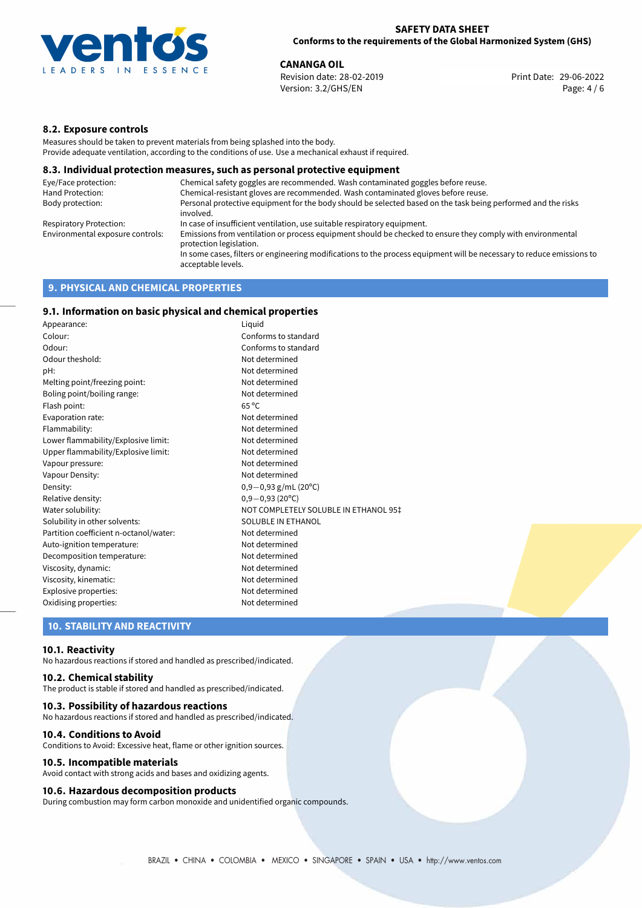

**CANANGA OIL**<br>
Revision date: 28-02-2019 **Print Date: 29-06-2022** Version: 3.2/GHS/EN Page: 4 / 6

## **8.2. Exposure controls**

Measures should be taken to prevent materials from being splashed into the body. Provide adequate ventilation, according to the conditions of use. Use a mechanical exhaust if required.

#### **8.3. Individual protection measures, such as personal protective equipment**

| Eye/Face protection:             | Chemical safety goggles are recommended. Wash contaminated goggles before reuse.                                                            |
|----------------------------------|---------------------------------------------------------------------------------------------------------------------------------------------|
| Hand Protection:                 | Chemical-resistant gloves are recommended. Wash contaminated gloves before reuse.                                                           |
| Body protection:                 | Personal protective equipment for the body should be selected based on the task being performed and the risks<br>involved.                  |
| Respiratory Protection:          | In case of insufficient ventilation, use suitable respiratory equipment.                                                                    |
| Environmental exposure controls: | Emissions from ventilation or process equipment should be checked to ensure they comply with environmental<br>protection legislation.       |
|                                  | In some cases, filters or engineering modifications to the process equipment will be necessary to reduce emissions to<br>acceptable levels. |
|                                  |                                                                                                                                             |

## **9. PHYSICAL AND CHEMICAL PROPERTIES**

## **9.1. Information on basic physical and chemical properties**

| Appearance:                            | Liquid                                |
|----------------------------------------|---------------------------------------|
| Colour:                                | Conforms to standard                  |
| Odour:                                 | Conforms to standard                  |
| Odour theshold:                        | Not determined                        |
| pH:                                    | Not determined                        |
| Melting point/freezing point:          | Not determined                        |
| Boling point/boiling range:            | Not determined                        |
| Flash point:                           | $65^{\circ}$ C                        |
| Evaporation rate:                      | Not determined                        |
| Flammability:                          | Not determined                        |
| Lower flammability/Explosive limit:    | Not determined                        |
| Upper flammability/Explosive limit:    | Not determined                        |
| Vapour pressure:                       | Not determined                        |
| Vapour Density:                        | Not determined                        |
| Density:                               | $0,9-0,93$ g/mL (20°C)                |
| Relative density:                      | $0,9-0,93(20^{\circ}C)$               |
| Water solubility:                      | NOT COMPLETELY SOLUBLE IN ETHANOL 95‡ |
| Solubility in other solvents:          | SOLUBLE IN ETHANOL                    |
| Partition coefficient n-octanol/water: | Not determined                        |
| Auto-ignition temperature:             | Not determined                        |
| Decomposition temperature:             | Not determined                        |
| Viscosity, dynamic:                    | Not determined                        |
| Viscosity, kinematic:                  | Not determined                        |
| Explosive properties:                  | Not determined                        |
| Oxidising properties:                  | Not determined                        |

## **10. STABILITY AND REACTIVITY**

#### **10.1. Reactivity**

No hazardous reactions if stored and handled as prescribed/indicated.

## **10.2. Chemical stability**

The product is stable if stored and handled as prescribed/indicated.

#### **10.3. Possibility of hazardous reactions**

No hazardous reactions if stored and handled as prescribed/indicated.

#### **10.4. Conditions to Avoid**

Conditions to Avoid: Excessive heat, flame or other ignition sources.

#### **10.5. Incompatible materials**

Avoid contact with strong acids and bases and oxidizing agents.

#### **10.6. Hazardous decomposition products**

During combustion may form carbon monoxide and unidentified organic compounds.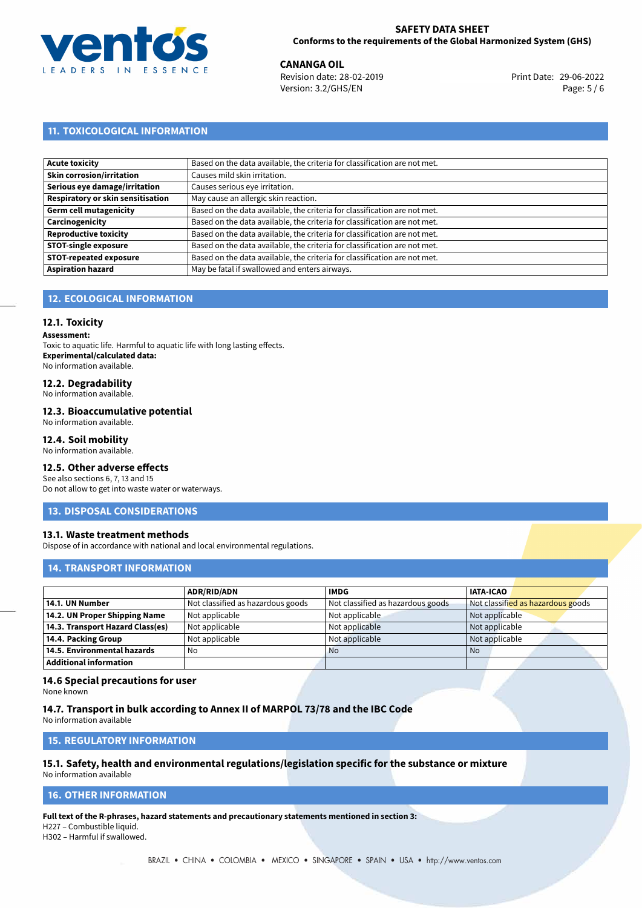

**CANANGA OIL**<br>
Revision date: 28-02-2019 **Print Date: 29-06-2022** Version: 3.2/GHS/EN Page: 5 / 6

# **11. TOXICOLOGICAL INFORMATION**

| Acute toxicity                    | Based on the data available, the criteria for classification are not met. |
|-----------------------------------|---------------------------------------------------------------------------|
| Skin corrosion/irritation         | Causes mild skin irritation.                                              |
| Serious eye damage/irritation     | Causes serious eye irritation.                                            |
| Respiratory or skin sensitisation | May cause an allergic skin reaction.                                      |
| Germ cell mutagenicity            | Based on the data available, the criteria for classification are not met. |
| Carcinogenicity                   | Based on the data available, the criteria for classification are not met. |
| Reproductive toxicity             | Based on the data available, the criteria for classification are not met. |
| STOT-single exposure              | Based on the data available, the criteria for classification are not met. |
| <b>STOT-repeated exposure</b>     | Based on the data available, the criteria for classification are not met. |
| <b>Aspiration hazard</b>          | May be fatal if swallowed and enters airways.                             |

# **12. ECOLOGICAL INFORMATION**

## **12.1. Toxicity**

**Assessment:**

Toxic to aquatic life. Harmful to aquatic life with long lasting effects. **Experimental/calculated data:** No information available.

# **12.2. Degradability**

No information available.

#### **12.3. Bioaccumulative potential**

No information available.

## **12.4. Soil mobility**

No information available.

## **12.5. Other adverse effects**

See also sections 6, 7, 13 and 15 Do not allow to get into waste water or waterways.

## **13. DISPOSAL CONSIDERATIONS**

## **13.1. Waste treatment methods**

Dispose of in accordance with national and local environmental regulations.

## **14. TRANSPORT INFORMATION**

|                                  | <b>ADR/RID/ADN</b>                | <b>IMDG</b>                       | <b>IATA-ICAO</b>                  |
|----------------------------------|-----------------------------------|-----------------------------------|-----------------------------------|
| 14.1. UN Number                  | Not classified as hazardous goods | Not classified as hazardous goods | Not classified as hazardous goods |
| 14.2. UN Proper Shipping Name    | Not applicable                    | Not applicable                    | Not applicable                    |
| 14.3. Transport Hazard Class(es) | Not applicable                    | Not applicable                    | Not applicable                    |
| 14.4. Packing Group              | Not applicable                    | Not applicable                    | Not applicable                    |
| 14.5. Environmental hazards      | No                                | <b>No</b>                         | <b>No</b>                         |
| Additional information           |                                   |                                   |                                   |

## **14.6 Special precautions for user**

None known

## **14.7. Transport in bulk according to Annex II of MARPOL 73/78 and the IBC Code**

No information available

# **15. REGULATORY INFORMATION**

#### **15.1. Safety, health and environmental regulations/legislation specific for the substance or mixture** No information available

# <span id="page-4-0"></span>**16. OTHER INFORMATION**

**Full text of the R-phrases, hazard statements and precautionary statements mentioned in section 3:** H227 – Combustible liquid.

H302 – Harmful if swallowed.